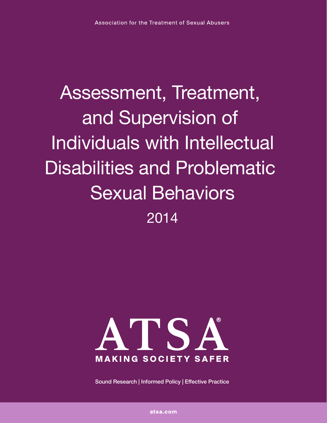# Assessment, Treatment, and Supervision of Individuals with Intellectual Disabilities and Problematic Sexual Behaviors 2014



Sound Research | Informed Policy | Effective Practice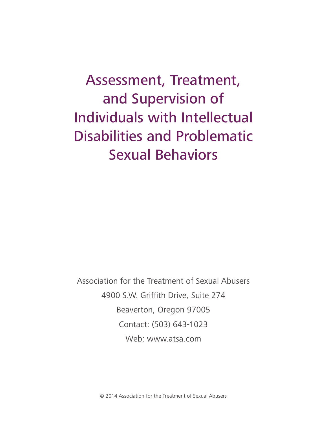## Assessment, Treatment, and Supervision of Individuals with Intellectual Disabilities and Problematic Sexual Behaviors

Association for the Treatment of Sexual Abusers 4900 S.W. Griffith Drive, Suite 274 Beaverton, Oregon 97005 Contact: (503) 643-1023 Web: www.atsa.com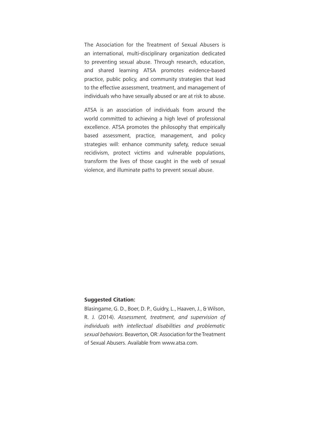The Association for the Treatment of Sexual Abusers is an international, multi-disciplinary organization dedicated to preventing sexual abuse. Through research, education, and shared learning ATSA promotes evidence-based practice, public policy, and community strategies that lead to the effective assessment, treatment, and management of individuals who have sexually abused or are at risk to abuse.

ATSA is an association of individuals from around the world committed to achieving a high level of professional excellence. ATSA promotes the philosophy that empirically based assessment, practice, management, and policy strategies will: enhance community safety, reduce sexual recidivism, protect victims and vulnerable populations, transform the lives of those caught in the web of sexual violence, and illuminate paths to prevent sexual abuse.

#### **Suggested Citation:**

Blasingame, G. D., Boer, D. P., Guidry, L., Haaven, J., & Wilson, R. J. (2014). *Assessment, treatment, and supervision of individuals with intellectual disabilities and problematic sexual behaviors.* Beaverton, OR: Association for the Treatment of Sexual Abusers. Available from www.atsa.com.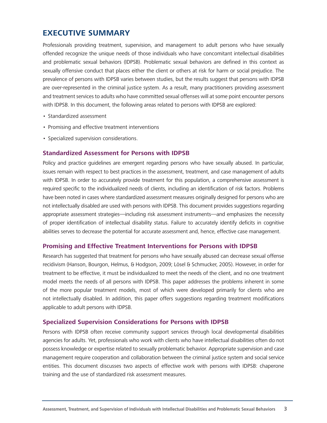## **EXECUTIVE SUMMARY**

Professionals providing treatment, supervision, and management to adult persons who have sexually offended recognize the unique needs of those individuals who have concomitant intellectual disabilities and problematic sexual behaviors (IDPSB). Problematic sexual behaviors are defined in this context as sexually offensive conduct that places either the client or others at risk for harm or social prejudice. The prevalence of persons with IDPSB varies between studies, but the results suggest that persons with IDPSB are over-represented in the criminal justice system. As a result, many practitioners providing assessment and treatment services to adults who have committed sexual offenses will at some point encounter persons with IDPSB. In this document, the following areas related to persons with IDPSB are explored:

- • Standardized assessment
- Promising and effective treatment interventions
- Specialized supervision considerations.

#### **Standardized Assessment for Persons with IDPSB**

Policy and practice guidelines are emergent regarding persons who have sexually abused. In particular, issues remain with respect to best practices in the assessment, treatment, and case management of adults with IDPSB. In order to accurately provide treatment for this population, a comprehensive assessment is required specific to the individualized needs of clients, including an identification of risk factors. Problems have been noted in cases where standardized assessment measures originally designed for persons who are not intellectually disabled are used with persons with IDPSB. This document provides suggestions regarding appropriate assessment strategies—including risk assessment instruments—and emphasizes the necessity of proper identification of intellectual disability status. Failure to accurately identify deficits in cognitive abilities serves to decrease the potential for accurate assessment and, hence, effective case management.

#### **Promising and Effective Treatment Interventions for Persons with IDPSB**

Research has suggested that treatment for persons who have sexually abused can decrease sexual offense recidivism (Hanson, Bourgon, Helmus, & Hodgson, 2009; Lösel & Schmucker, 2005). However, in order for treatment to be effective, it must be individualized to meet the needs of the client, and no one treatment model meets the needs of all persons with IDPSB. This paper addresses the problems inherent in some of the more popular treatment models, most of which were developed primarily for clients who are not intellectually disabled. In addition, this paper offers suggestions regarding treatment modifications applicable to adult persons with IDPSB.

#### **Specialized Supervision Considerations for Persons with IDPSB**

Persons with IDPSB often receive community support services through local developmental disabilities agencies for adults. Yet, professionals who work with clients who have intellectual disabilities often do not possess knowledge or expertise related to sexually problematic behavior. Appropriate supervision and case management require cooperation and collaboration between the criminal justice system and social service entities. This document discusses two aspects of effective work with persons with IDPSB: chaperone training and the use of standardized risk assessment measures.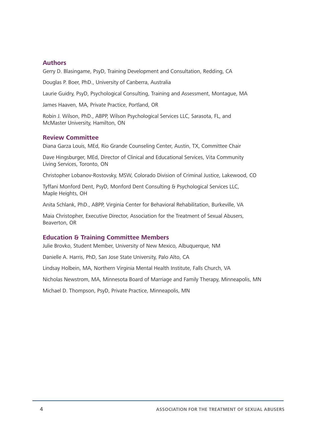#### **Authors**

Gerry D. Blasingame, PsyD, Training Development and Consultation, Redding, CA

Douglas P. Boer, PhD., University of Canberra, Australia

Laurie Guidry, PsyD, Psychological Consulting, Training and Assessment, Montague, MA

James Haaven, MA, Private Practice, Portland, OR

Robin J. Wilson, PhD., ABPP, Wilson Psychological Services LLC, Sarasota, FL, and McMaster University, Hamilton, ON

#### **Review Committee**

Diana Garza Louis, MEd, Rio Grande Counseling Center, Austin, TX, Committee Chair

Dave Hingsburger, MEd, Director of Clinical and Educational Services, Vita Community Living Services, Toronto, ON

Christopher Lobanov-Rostovsky, MSW, Colorado Division of Criminal Justice, Lakewood, CO

Tyffani Monford Dent, PsyD, Monford Dent Consulting & Psychological Services LLC, Maple Heights, OH

Anita Schlank, PhD., ABPP, Virginia Center for Behavioral Rehabilitation, Burkeville, VA

Maia Christopher, Executive Director, Association for the Treatment of Sexual Abusers, Beaverton, OR

#### **Education & Training Committee Members**

Julie Brovko, Student Member, University of New Mexico, Albuquerque, NM

Danielle A. Harris, PhD, San Jose State University, Palo Alto, CA

Lindsay Holbein, MA, Northern Virginia Mental Health Institute, Falls Church, VA

Nicholas Newstrom, MA, Minnesota Board of Marriage and Family Therapy, Minneapolis, MN

Michael D. Thompson, PsyD, Private Practice, Minneapolis, MN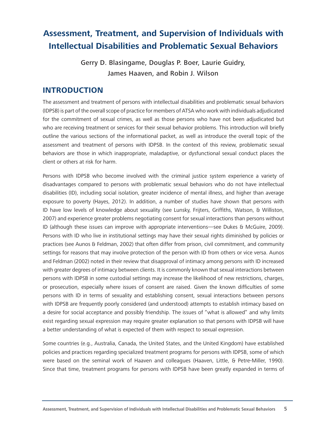## **Assessment, Treatment, and Supervision of Individuals with Intellectual Disabilities and Problematic Sexual Behaviors**

Gerry D. Blasingame, Douglas P. Boer, Laurie Guidry, James Haaven, and Robin J. Wilson

## **INTRODUCTION**

The assessment and treatment of persons with intellectual disabilities and problematic sexual behaviors (IDPSB) is part of the overall scope of practice for members of ATSA who work with individuals adjudicated for the commitment of sexual crimes, as well as those persons who have not been adjudicated but who are receiving treatment or services for their sexual behavior problems. This introduction will briefly outline the various sections of the informational packet, as well as introduce the overall topic of the assessment and treatment of persons with IDPSB. In the context of this review, problematic sexual behaviors are those in which inappropriate, maladaptive, or dysfunctional sexual conduct places the client or others at risk for harm.

Persons with IDPSB who become involved with the criminal justice system experience a variety of disadvantages compared to persons with problematic sexual behaviors who do not have intellectual disabilities (ID), including social isolation, greater incidence of mental illness, and higher than average exposure to poverty (Hayes, 2012). In addition, a number of studies have shown that persons with ID have low levels of knowledge about sexuality (see Lunsky, Frijters, Griffiths, Watson, & Williston, 2007) and experience greater problems negotiating consent for sexual interactions than persons without ID (although these issues can improve with appropriate interventions—see Dukes & McGuire, 2009). Persons with ID who live in institutional settings may have their sexual rights diminished by policies or practices (see Aunos & Feldman, 2002) that often differ from prison, civil commitment, and community settings for reasons that may involve protection of the person with ID from others or vice versa. Aunos and Feldman (2002) noted in their review that disapproval of intimacy among persons with ID increased with greater degrees of intimacy between clients. It is commonly known that sexual interactions between persons with IDPSB in some custodial settings may increase the likelihood of new restrictions, charges, or prosecution, especially where issues of consent are raised. Given the known difficulties of some persons with ID in terms of sexuality and establishing consent, sexual interactions between persons with IDPSB are frequently poorly considered (and understood) attempts to establish intimacy based on a desire for social acceptance and possibly friendship. The issues of "what is allowed" and why limits exist regarding sexual expression may require greater explanation so that persons with IDPSB will have a better understanding of what is expected of them with respect to sexual expression.

Some countries (e.g., Australia, Canada, the United States, and the United Kingdom) have established policies and practices regarding specialized treatment programs for persons with IDPSB, some of which were based on the seminal work of Haaven and colleagues (Haaven, Little, & Petre-Miller, 1990). Since that time, treatment programs for persons with IDPSB have been greatly expanded in terms of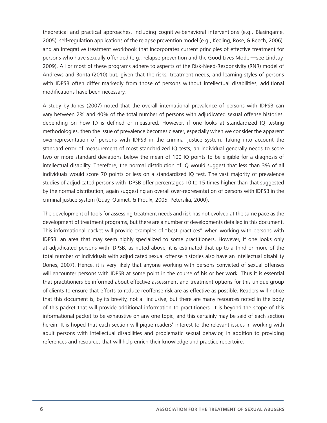theoretical and practical approaches, including cognitive-behavioral interventions (e.g., Blasingame, 2005), self-regulation applications of the relapse prevention model (e.g., Keeling, Rose, & Beech, 2006), and an integrative treatment workbook that incorporates current principles of effective treatment for persons who have sexually offended (e.g., relapse prevention and the Good Lives Model—see Lindsay, 2009). All or most of these programs adhere to aspects of the Risk-Need-Responsivity (RNR) model of Andrews and Bonta (2010) but, given that the risks, treatment needs, and learning styles of persons with IDPSB often differ markedly from those of persons without intellectual disabilities, additional modifications have been necessary.

A study by Jones (2007) noted that the overall international prevalence of persons with IDPSB can vary between 2% and 40% of the total number of persons with adjudicated sexual offense histories, depending on how ID is defined or measured. However, if one looks at standardized IQ testing methodologies, then the issue of prevalence becomes clearer, especially when we consider the apparent over-representation of persons with IDPSB in the criminal justice system. Taking into account the standard error of measurement of most standardized IQ tests, an individual generally needs to score two or more standard deviations below the mean of 100 IQ points to be eligible for a diagnosis of intellectual disability. Therefore, the normal distribution of IQ would suggest that less than 3% of all individuals would score 70 points or less on a standardized IQ test. The vast majority of prevalence studies of adjudicated persons with IDPSB offer percentages 10 to 15 times higher than that suggested by the normal distribution, again suggesting an overall over-representation of persons with IDPSB in the criminal justice system (Guay, Ouimet, & Proulx, 2005; Petersilia, 2000).

The development of tools for assessing treatment needs and risk has not evolved at the same pace as the development of treatment programs, but there are a number of developments detailed in this document. This informational packet will provide examples of "best practices" when working with persons with IDPSB, an area that may seem highly specialized to some practitioners. However, if one looks only at adjudicated persons with IDPSB, as noted above, it is estimated that up to a third or more of the total number of individuals with adjudicated sexual offense histories also have an intellectual disability (Jones, 2007). Hence, it is very likely that anyone working with persons convicted of sexual offenses will encounter persons with IDPSB at some point in the course of his or her work. Thus it is essential that practitioners be informed about effective assessment and treatment options for this unique group of clients to ensure that efforts to reduce reoffense risk are as effective as possible. Readers will notice that this document is, by its brevity, not all inclusive, but there are many resources noted in the body of this packet that will provide additional information to practitioners. It is beyond the scope of this informational packet to be exhaustive on any one topic, and this certainly may be said of each section herein. It is hoped that each section will pique readers' interest to the relevant issues in working with adult persons with intellectual disabilities and problematic sexual behavior, in addition to providing references and resources that will help enrich their knowledge and practice repertoire.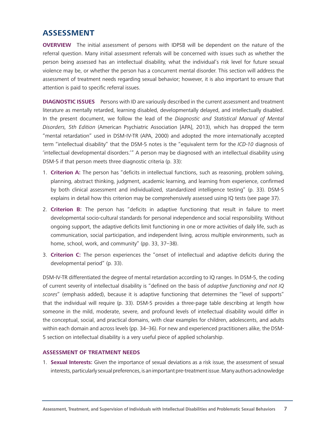## **ASSESSMENT**

**OVERVIEW** The initial assessment of persons with IDPSB will be dependent on the nature of the referral question. Many initial assessment referrals will be concerned with issues such as whether the person being assessed has an intellectual disability, what the individual's risk level for future sexual violence may be, or whether the person has a concurrent mental disorder. This section will address the assessment of treatment needs regarding sexual behavior; however, it is also important to ensure that attention is paid to specific referral issues.

**DIAGNOSTIC ISSUES** Persons with ID are variously described in the current assessment and treatment literature as mentally retarded, learning disabled, developmentally delayed, and intellectually disabled. In the present document, we follow the lead of the *Diagnostic and Statistical Manual of Mental Disorders, 5th Edition* (American Psychiatric Association [APA], 2013), which has dropped the term "mental retardation" used in DSM-IV-TR (APA, 2000) and adopted the more internationally accepted term "intellectual disability" that the DSM-5 notes is the "equivalent term for the *ICD-10* diagnosis of 'intellectual developmental disorders.'" A person may be diagnosed with an intellectual disability using DSM-5 if that person meets three diagnostic criteria (p. 33):

- 1. **Criterion A:** The person has "deficits in intellectual functions, such as reasoning, problem solving, planning, abstract thinking, judgment, academic learning, and learning from experience, confirmed by both clinical assessment and individualized, standardized intelligence testing" (p. 33). DSM-5 explains in detail how this criterion may be comprehensively assessed using IQ tests (see page 37).
- 2. **Criterion B:** The person has "deficits in adaptive functioning that result in failure to meet developmental socio-cultural standards for personal independence and social responsibility. Without ongoing support, the adaptive deficits limit functioning in one or more activities of daily life, such as communication, social participation, and independent living, across multiple environments, such as home, school, work, and community" (pp. 33, 37-38).
- 3. **Criterion C:** The person experiences the "onset of intellectual and adaptive deficits during the developmental period" (p. 33).

DSM-IV-TR differentiated the degree of mental retardation according to IQ ranges. In DSM-5, the coding of current severity of intellectual disability is "defined on the basis of *adaptive functioning and not IQ scores*" (emphasis added), because it is adaptive functioning that determines the "level of supports" that the individual will require (p. 33). DSM-5 provides a three-page table describing at length how someone in the mild, moderate, severe, and profound levels of intellectual disability would differ in the conceptual, social, and practical domains, with clear examples for children, adolescents, and adults within each domain and across levels (pp. 34–36). For new and experienced practitioners alike, the DSM-5 section on intellectual disability is a very useful piece of applied scholarship.

#### **ASSESSMENT OF TREATMENT NEEDS**

1. **Sexual Interests:** Given the importance of sexual deviations as a risk issue, the assessment of sexual interests, particularly sexual preferences, is an important pre-treatment issue. Many authors acknowledge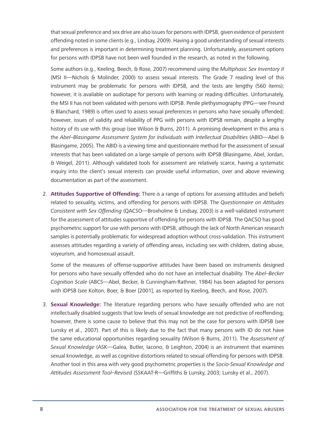that sexual preference and sex drive are also issues for persons with IDPSB, given evidence of persistent offending noted in some clients (e.g., Lindsay, 2009). Having a good understanding of sexual interests and preferences is important in determining treatment planning. Unfortunately, assessment options for persons with IDPSB have not been well founded in the research, as noted in the following.

Some authors (e.g., Keeling, Beech, & Rose, 2007) recommend using the *Multiphasic Sex Inventory II* (MSI II—Nichols & Molinder, 2000) to assess sexual interests. The Grade 7 reading level of this instrument may be problematic for persons with IDPSB, and the tests are lengthy (560 items); however, it is available on audiotape for persons with learning or reading difficulties. Unfortunately, the MSI II has not been validated with persons with IDPSB. Penile plethysmography (PPG—see Freund & Blanchard, 1989) is often used to assess sexual preferences in persons who have sexually offended; however, issues of validity and reliability of PPG with persons with IDPSB remain, despite a lengthy history of its use with this group (see Wilson & Burns, 2011). A promising development in this area is the *Abel–Blasingame Assessment System for Individuals with Intellectual Disabilities* (ABID—Abel & Blasingame, 2005). The ABID is a viewing time and questionnaire method for the assessment of sexual interests that has been validated on a large sample of persons with IDPSB (Blasingame, Abel, Jordan, & Weigel, 2011). Although validated tools for assessment are relatively scarce, having a systematic inquiry into the client's sexual interests can provide useful information, over and above reviewing documentation as part of the assessment.

2. **Attitudes Supportive of Offending:** There is a range of options for assessing attitudes and beliefs related to sexuality, victims, and offending for persons with IDPSB. The *Questionnaire on Attitudes Consistent with Sex Offending* (QACSO—Broxholme & Lindsay, 2003) is a well-validated instrument for the assessment of attitudes supportive of offending for persons with IDPSB. The QACSO has good psychometric support for use with persons with IDPSB, although the lack of North American research samples is potentially problematic for widespread adoption without cross-validation. This instrument assesses attitudes regarding a variety of offending areas, including sex with children, dating abuse, voyeurism, and homosexual assault.

Some of the measures of offense-supportive attitudes have been based on instruments designed for persons who have sexually offended who do not have an intellectual disability. The *Abel–Becker Cognition Scale* (ABCS—Abel, Becker, & Cunningham-Rathner, 1984) has been adapted for persons with IDPSB (see Kolton, Boer, & Boer [2001], as reported by Keeling, Beech, and Rose, 2007).

3. **Sexual Knowledge:** The literature regarding persons who have sexually offended who are not intellectually disabled suggests that low levels of sexual knowledge are not predictive of reoffending; however, there is some cause to believe that this may not be the case for persons with IDPSB (see Lunsky et al., 2007). Part of this is likely due to the fact that many persons with ID do not have the same educational opportunities regarding sexuality (Wilson & Burns, 2011). The *Assessment of Sexual Knowledge* (ASK—Galea, Butler, Iacono, & Leighton, 2004) is an instrument that examines sexual knowledge, as well as cognitive distortions related to sexual offending for persons with IDPSB. Another tool in this area with very good psychometric properties is the *Socio-Sexual Knowledge and Attitudes Assessment Tool–Revised* (SSKAAT-R—Griffiths & Lunsky, 2003; Lunsky et al., 2007).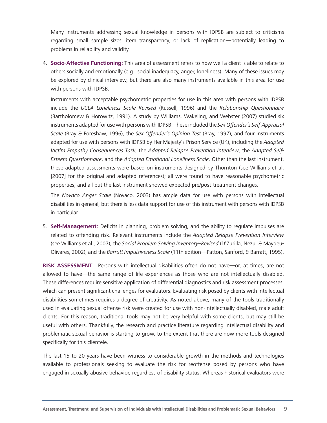Many instruments addressing sexual knowledge in persons with IDPSB are subject to criticisms regarding small sample sizes, item transparency, or lack of replication—potentially leading to problems in reliability and validity.

4. **Socio-Affective Functioning:** This area of assessment refers to how well a client is able to relate to others socially and emotionally (e.g., social inadequacy, anger, loneliness). Many of these issues may be explored by clinical interview, but there are also many instruments available in this area for use with persons with IDPSB.

Instruments with acceptable psychometric properties for use in this area with persons with IDPSB include the *UCLA Loneliness Scale–Revised* (Russell, 1996) and the *Relationship Questionnaire*  (Bartholomew & Horowitz, 1991). A study by Williams, Wakeling, and Webster (2007) studied six instruments adapted for use with persons with IDPSB. These included the *Sex Offender's Self-Appraisal Scale* (Bray & Foreshaw, 1996), the *Sex Offender's Opinion Test* (Bray, 1997), and four instruments adapted for use with persons with IDPSB by Her Majesty's Prison Service (UK), including the *Adapted Victim Empathy Consequences Task*, the *Adapted Relapse Prevention Interview*, the *Adapted Self-Esteem Questionnaire*, and the *Adapted Emotional Loneliness Scale*. Other than the last instrument, these adapted assessments were based on instruments designed by Thornton (see Williams et al. [2007] for the original and adapted references); all were found to have reasonable psychometric properties; and all but the last instrument showed expected pre/post-treatment changes.

The *Novaco Anger Scale* (Novaco, 2003) has ample data for use with persons with intellectual disabilities in general, but there is less data support for use of this instrument with persons with IDPSB in particular.

5. **Self-Management:** Deficits in planning, problem solving, and the ability to regulate impulses are related to offending risk. Relevant instruments include the *Adapted Relapse Prevention Interview*  (see Williams et al., 2007), the *Social Problem Solving Inventory–Revised* (D'Zurilla, Nezu, & Maydeu-Olivares, 2002), and the *Barratt Impulsiveness Scale* (11th edition—Patton, Sanford, & Barratt, 1995).

**RISK ASSESSMENT** Persons with intellectual disabilities often do not have—or, at times, are not allowed to have—the same range of life experiences as those who are not intellectually disabled. These differences require sensitive application of differential diagnostics and risk assessment processes, which can present significant challenges for evaluators. Evaluating risk posed by clients with intellectual disabilities sometimes requires a degree of creativity. As noted above, many of the tools traditionally used in evaluating sexual offense risk were created for use with non-intellectually disabled, male adult clients. For this reason, traditional tools may not be very helpful with some clients, but may still be useful with others. Thankfully, the research and practice literature regarding intellectual disability and problematic sexual behavior is starting to grow, to the extent that there are now more tools designed specifically for this clientele.

The last 15 to 20 years have been witness to considerable growth in the methods and technologies available to professionals seeking to evaluate the risk for reoffense posed by persons who have engaged in sexually abusive behavior, regardless of disability status. Whereas historical evaluators were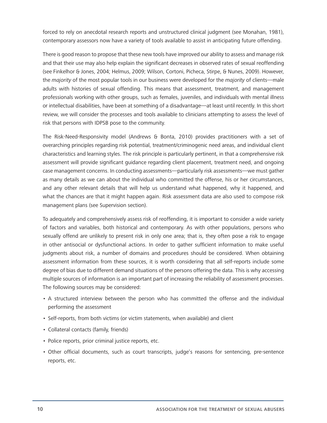forced to rely on anecdotal research reports and unstructured clinical judgment (see Monahan, 1981), contemporary assessors now have a variety of tools available to assist in anticipating future offending.

There is good reason to propose that these new tools have improved our ability to assess and manage risk and that their use may also help explain the significant decreases in observed rates of sexual reoffending (see Finkelhor & Jones, 2004; Helmus, 2009; Wilson, Cortoni, Picheca, Stirpe, & Nunes, 2009). However, the *majority* of the most popular tools in our business were developed for the *majority* of clients—male adults with histories of sexual offending. This means that assessment, treatment, and management professionals working with other groups, such as females, juveniles, and individuals with mental illness or intellectual disabilities, have been at something of a disadvantage—at least until recently. In this short review, we will consider the processes and tools available to clinicians attempting to assess the level of risk that persons with IDPSB pose to the community.

The Risk-Need-Responsivity model (Andrews & Bonta, 2010) provides practitioners with a set of overarching principles regarding risk potential, treatment/criminogenic need areas, and individual client characteristics and learning styles. The risk principle is particularly pertinent, in that a comprehensive risk assessment will provide significant guidance regarding client placement, treatment need, and ongoing case management concerns. In conducting assessments—particularly risk assessments—we must gather as many details as we can about the individual who committed the offense, his or her circumstances, and any other relevant details that will help us understand what happened, why it happened, and what the chances are that it might happen again. Risk assessment data are also used to compose risk management plans (see Supervision section).

To adequately and comprehensively assess risk of reoffending, it is important to consider a wide variety of factors and variables, both historical and contemporary. As with other populations, persons who sexually offend are unlikely to present risk in only one area; that is, they often pose a risk to engage in other antisocial or dysfunctional actions. In order to gather sufficient information to make useful judgments about risk, a number of domains and procedures should be considered. When obtaining assessment information from these sources, it is worth considering that all self-reports include some degree of bias due to different demand situations of the persons offering the data. This is why accessing multiple sources of information is an important part of increasing the reliability of assessment processes. The following sources may be considered:

- • A structured interview between the person who has committed the offense and the individual performing the assessment
- • Self-reports, from both victims (or victim statements, when available) and client
- • Collateral contacts (family, friends)
- Police reports, prior criminal justice reports, etc.
- • Other official documents, such as court transcripts, judge's reasons for sentencing, pre-sentence reports, etc.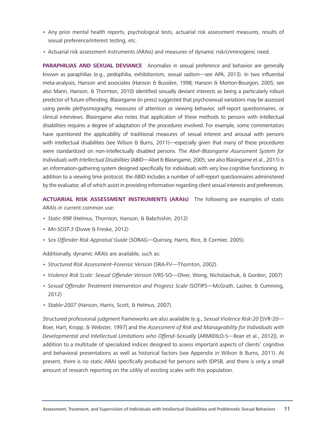- • Any prior mental health reports, psychological tests, actuarial risk assessment measures, results of sexual preference/interest testing, etc.
- • Actuarial risk assessment instruments (ARAIs) and measures of dynamic risk/criminogenic need.

**PARAPHILIAS AND SEXUAL DEVIANCE** Anomalies in sexual preference and behavior are generally known as paraphilias (e.g., pedophilia, exhibitionism, sexual sadism—see APA, 2013). In two influential meta-analyses, Hanson and associates (Hanson & Bussière, 1998; Hanson & Morton-Bourgon, 2005; see also Mann, Hanson, & Thornton, 2010) identified sexually deviant interests as being a particularly robust predictor of future offending. Blasingame (in press) suggested that psychosexual variations may be assessed using penile plethysmography, measures of attention or viewing behavior, self-report questionnaires, or clinical interviews. Blasingame also notes that application of these methods to persons with intellectual disabilities requires a degree of adaptation of the procedures involved. For example, some commentators have questioned the applicability of traditional measures of sexual interest and arousal with persons with intellectual disabilities (see Wilson & Burns, 2011)—especially given that many of these procedures were standardized on non-intellectually disabled persons. The *Abel–Blasingame Assessment System for Individuals with Intellectual Disabilities* (ABID—Abel & Blasingame, 2005; see also Blasingame et al., 2011) is an information-gathering system designed specifically for individuals with very low cognitive functioning. In addition to a viewing time protocol, the ABID includes a number of self-report questionnaires administered by the evaluator, all of which assist in providing information regarding client sexual interests and preferences.

**ACTUARIAL RISK ASSESSMENT INSTRUMENTS (ARAIs)** The following are examples of static ARAIs in current common use:

- • *Static-99R* (Helmus, Thornton, Hanson, & Babchishin, 2012)
- • *Mn-SOST-3* (Duwe & Freske, 2012)
- • *Sex Offender Risk Appraisal Guide* (SORAG—Quinsey, Harris, Rice, & Cormier, 2005).

Additionally, dynamic ARAIs are available, such as:

- • *Structured Risk Assessment–Forensic Version* (SRA-FV—Thornton, 2002)
- • *Violence Risk Scale: Sexual Offender Version* (VRS-SO—Olver, Wong, Nicholaichuk, & Gordon, 2007)
- • *Sexual Offender Treatment Intervention and Progress Scale* (SOTIPS—McGrath, Lasher, & Cumming, 2012)
- • *Stable-2007* (Hanson, Harris, Scott, & Helmus, 2007).

Structured professional judgment frameworks are also available (e.g., *Sexual Violence Risk-20* [SVR-20— Boer, Hart, Kropp, & Webster, 1997] and the *Assessment of Risk and Manageability for Individuals with Developmental and Intellectual Limitations who Offend–Sexually* [ARMIDILO-S—Boer et al., 2012]), in addition to a multitude of specialized indices designed to assess important aspects of clients' cognitive and behavioral presentations as well as historical factors (see Appendix in Wilson & Burns, 2011). At present, there is no static ARAI specifically produced for persons with IDPSB, and there is only a small amount of research reporting on the utility of existing scales with this population.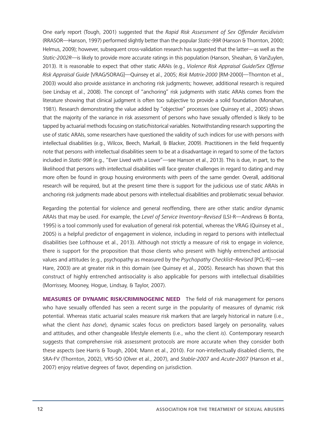One early report (Tough, 2001) suggested that the *Rapid Risk Assessment of Sex Offender Recidivism* (RRASOR—Hanson, 1997) performed slightly better than the popular *Static-99R* (Hanson & Thornton, 2000; Helmus, 2009); however, subsequent cross-validation research has suggested that the latter—as well as the *Static-2002R*—is likely to provide more accurate ratings in this population (Hanson, Sheahan, & VanZuylen, 2013). It is reasonable to expect that other static ARAIs (e.g., *Violence Risk Appraisal Guide/Sex Offense Risk Appraisal Guide* [VRAG/SORAG]—Quinsey et al., 2005; *Risk Matrix-2000* [RM-2000]—Thornton et al., 2003) would also provide assistance in anchoring risk judgments; however, additional research is required (see Lindsay et al., 2008). The concept of "anchoring" risk judgments with static ARAIs comes from the literature showing that clinical judgment is often too subjective to provide a solid foundation (Monahan, 1981). Research demonstrating the value added by "objective" processes (see Quinsey et al., 2005) shows that the majority of the variance in risk assessment of persons who have sexually offended is likely to be tapped by actuarial methods focusing on static/historical variables. Notwithstanding research supporting the use of static ARAIs, some researchers have questioned the validity of such indices for use with persons with intellectual disabilities (e.g., Wilcox, Beech, Markall, & Blacker, 2009). Practitioners in the field frequently note that persons with intellectual disabilities seem to be at a disadvantage in regard to some of the factors included in *Static-99R* (e.g., "Ever Lived with a Lover"—see Hanson et al., 2013). This is due, in part, to the likelihood that persons with intellectual disabilities will face greater challenges in regard to dating and may more often be found in group housing environments with peers of the same gender. Overall, additional research will be required, but at the present time there is support for the judicious use of static ARAIs in anchoring risk judgments made about persons with intellectual disabilities and problematic sexual behavior.

Regarding the potential for violence and general reoffending, there are other static and/or dynamic ARAIs that may be used. For example, the *Level of Service Inventory–Revised* (LSI-R—Andrews & Bonta, 1995) is a tool commonly used for evaluation of general risk potential, whereas the VRAG (Quinsey et al., 2005) is a helpful predictor of engagement in violence, including in regard to persons with intellectual disabilities (see Lofthouse et al., 2013). Although not strictly a measure of risk to engage in violence, there is support for the proposition that those clients who present with highly entrenched antisocial values and attitudes (e.g., psychopathy as measured by the *Psychopathy Checklist–Revised* [PCL-R]—see Hare, 2003) are at greater risk in this domain (see Quinsey et al., 2005). Research has shown that this construct of highly entrenched antisociality is also applicable for persons with intellectual disabilities (Morrissey, Mooney, Hogue, Lindsay, & Taylor, 2007).

**MEASURES OF DYNAMIC RISK/CRIMINOGENIC NEED** The field of risk management for persons who have sexually offended has seen a recent surge in the popularity of measures of dynamic risk potential. Whereas static actuarial scales measure risk markers that are largely historical in nature (i.e., what the client *has done*), dynamic scales focus on predictors based largely on personality, values and attitudes, and other changeable lifestyle elements (i.e., who the client *is*). Contemporary research suggests that comprehensive risk assessment protocols are more accurate when they consider both these aspects (see Harris & Tough, 2004; Mann et al., 2010). For non-intellectually disabled clients, the SRA-FV (Thornton, 2002), VRS-SO (Olver et al., 2007), and *Stable-2007* and *Acute-2007* (Hanson et al., 2007) enjoy relative degrees of favor, depending on jurisdiction.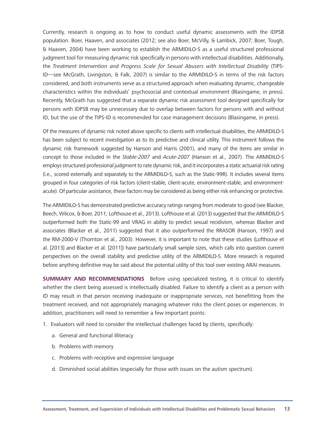Currently, research is ongoing as to how to conduct useful dynamic assessments with the IDPSB population. Boer, Haaven, and associates (2012; see also Boer, McVilly, & Lambick, 2007; Boer, Tough, & Haaven, 2004) have been working to establish the ARMIDILO-S as a useful structured professional judgment tool for measuring dynamic risk specifically in persons with intellectual disabilities. Additionally, the *Treatment Intervention and Progress Scale for Sexual Abusers with Intellectual Disability* (TIPS-ID—see McGrath, Livingston, & Falk, 2007) is similar to the ARMIDILO-S in terms of the risk factors considered, and both instruments serve as a structured approach when evaluating dynamic, changeable characteristics within the individuals' psychosocial and contextual environment (Blasingame, in press). Recently, McGrath has suggested that a separate dynamic risk assessment tool designed specifically for persons with IDPSB may be unnecessary due to overlap between factors for persons with and without ID, but the use of the TIPS-ID is recommended for case management decisions (Blasingame, in press).

Of the measures of dynamic risk noted above specific to clients with intellectual disabilities, the ARMIDILO-S has been subject to recent investigation as to its predictive and clinical utility. This instrument follows the dynamic risk framework suggested by Hanson and Harris (2001), and many of the items are similar in concept to those included in the *Stable-2007* and *Acute-2007* (Hanson et al., 2007). The ARMIDILO-S employs structured professional judgment to rate dynamic risk, and it incorporates a static actuarial risk rating (i.e., scored externally and separately to the ARMIDILO-S, such as the Static-99R). It includes several items grouped in four categories of risk factors (client-stable, client-acute, environment-stable, and environmentacute). Of particular assistance, these factors may be considered as being either risk enhancing or protective.

The ARMIDILO-S has demonstrated predictive accuracy ratings ranging from moderate to good (see Blacker, Beech, Wilcox, & Boer, 2011; Lofthouse et al., 2013). Lofthouse et al. (2013) suggested that the ARMIDILO-S outperformed both the Static-99 and VRAG in ability to predict sexual recidivism, whereas Blacker and associates (Blacker et al., 2011) suggested that it also outperformed the RRASOR (Hanson, 1997) and the RM-2000-V (Thornton et al., 2003). However, it is important to note that these studies (Lofthouse et al. [2013] and Blacker et al. [2011]) have particularly small sample sizes, which calls into question current perspectives on the overall stability and predictive utility of the ARMIDILO-S. More research is required before anything definitive may be said about the potential utility of this tool over existing ARAI measures.

**SUMMARY AND RECOMMENDATIONS** Before using specialized testing, it is critical to identify whether the client being assessed is intellectually disabled. Failure to identify a client as a person with ID may result in that person receiving inadequate or inappropriate services, not benefitting from the treatment received, and not appropriately managing whatever risks the client poses or experiences. In addition, practitioners will need to remember a few important points:

- 1. Evaluators will need to consider the intellectual challenges faced by clients, specifically:
	- a. General and functional illiteracy
	- b. Problems with memory
	- c. Problems with receptive and expressive language
	- d. Diminished social abilities (especially for those with issues on the autism spectrum).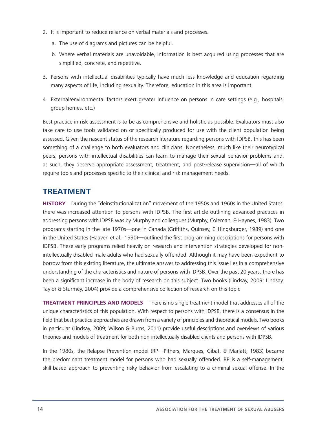- 2. It is important to reduce reliance on verbal materials and processes.
	- a. The use of diagrams and pictures can be helpful.
	- b. Where verbal materials are unavoidable, information is best acquired using processes that are simplified, concrete, and repetitive.
- 3. Persons with intellectual disabilities typically have much less knowledge and education regarding many aspects of life, including sexuality. Therefore, education in this area is important.
- 4. External/environmental factors exert greater influence on persons in care settings (e.g., hospitals, group homes, etc.)

Best practice in risk assessment is to be as comprehensive and holistic as possible. Evaluators must also take care to use tools validated on or specifically produced for use with the client population being assessed. Given the nascent status of the research literature regarding persons with IDPSB, this has been something of a challenge to both evaluators and clinicians. Nonetheless, much like their neurotypical peers, persons with intellectual disabilities can learn to manage their sexual behavior problems and, as such, they deserve appropriate assessment, treatment, and post-release supervision—all of which require tools and processes specific to their clinical and risk management needs.

## **TREATMENT**

**HISTORY** During the "deinstitutionalization" movement of the 1950s and 1960s in the United States, there was increased attention to persons with IDPSB. The first article outlining advanced practices in addressing persons with IDPSB was by Murphy and colleagues (Murphy, Coleman, & Haynes, 1983). Two programs starting in the late 1970s—one in Canada (Griffiths, Quinsey, & Hingsburger, 1989) and one in the United States (Haaven et al., 1990)—outlined the first programming descriptions for persons with IDPSB. These early programs relied heavily on research and intervention strategies developed for nonintellectually disabled male adults who had sexually offended. Although it may have been expedient to borrow from this existing literature, the ultimate answer to addressing this issue lies in a comprehensive understanding of the characteristics and nature of persons with IDPSB. Over the past 20 years, there has been a significant increase in the body of research on this subject. Two books (Lindsay, 2009; Lindsay, Taylor & Sturmey, 2004) provide a comprehensive collection of research on this topic.

**TREATMENT PRINCIPLES AND MODELS** There is no single treatment model that addresses all of the unique characteristics of this population. With respect to persons with IDPSB, there is a consensus in the field that best practice approaches are drawn from a variety of principles and theoretical models. Two books in particular (Lindsay, 2009; Wilson & Burns, 2011) provide useful descriptions and overviews of various theories and models of treatment for both non-intellectually disabled clients and persons with IDPSB.

In the 1980s, the Relapse Prevention model (RP—Pithers, Marques, Gibat, & Marlatt, 1983) became the predominant treatment model for persons who had sexually offended. RP is a self-management, skill-based approach to preventing risky behavior from escalating to a criminal sexual offense. In the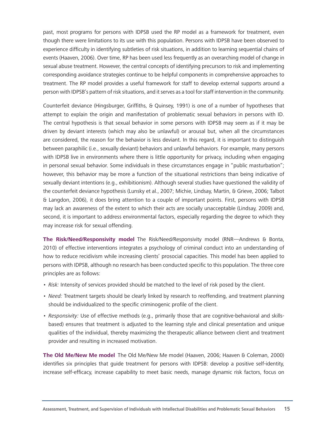past, most programs for persons with IDPSB used the RP model as a framework for treatment, even though there were limitations to its use with this population. Persons with IDPSB have been observed to experience difficulty in identifying subtleties of risk situations, in addition to learning sequential chains of events (Haaven, 2006). Over time, RP has been used less frequently as an overarching model of change in sexual abuse treatment. However, the central concepts of identifying precursors to risk and implementing corresponding avoidance strategies continue to be helpful components in comprehensive approaches to treatment. The RP model provides a useful framework for staff to develop external supports around a person with IDPSB's pattern of risk situations, and it serves as a tool for staff intervention in the community.

Counterfeit deviance (Hingsburger, Griffiths, & Quinsey, 1991) is one of a number of hypotheses that attempt to explain the origin and manifestation of problematic sexual behaviors in persons with ID. The central hypothesis is that sexual behavior in some persons with IDPSB may seem as if it may be driven by deviant interests (which may also be unlawful) or arousal but, when all the circumstances are considered, the reason for the behavior is less deviant. In this regard, it is important to distinguish between paraphilic (i.e., sexually deviant) behaviors and unlawful behaviors. For example, many persons with IDPSB live in environments where there is little opportunity for privacy, including when engaging in personal sexual behavior. Some individuals in these circumstances engage in "public masturbation"; however, this behavior may be more a function of the situational restrictions than being indicative of sexually deviant intentions (e.g., exhibitionism). Although several studies have questioned the validity of the counterfeit deviance hypothesis (Lunsky et al., 2007; Michie, Lindsay, Martin, & Grieve, 2006; Talbot & Langdon, 2006), it does bring attention to a couple of important points. First, persons with IDPSB may lack an awareness of the extent to which their acts are socially unacceptable (Lindsay, 2009) and, second, it is important to address environmental factors, especially regarding the degree to which they may increase risk for sexual offending.

**The Risk/Need/Responsivity model** The Risk/Need/Responsivity model (RNR—Andrews & Bonta, 2010) of effective interventions integrates a psychology of criminal conduct into an understanding of how to reduce recidivism while increasing clients' prosocial capacities. This model has been applied to persons with IDPSB, although no research has been conducted specific to this population. The three core principles are as follows:

- • *Risk:* Intensity of services provided should be matched to the level of risk posed by the client.
- *Need:* Treatment targets should be clearly linked by research to reoffending, and treatment planning should be individualized to the specific criminogenic profile of the client.
- • *Responsivity:* Use of effective methods (e.g., primarily those that are cognitive-behavioral and skillsbased) ensures that treatment is adjusted to the learning style and clinical presentation and unique qualities of the individual, thereby maximizing the therapeutic alliance between client and treatment provider and resulting in increased motivation.

**The Old Me/New Me model** The Old Me/New Me model (Haaven, 2006; Haaven & Coleman, 2000) identifies six principles that guide treatment for persons with IDPSB: develop a positive self-identity, increase self-efficacy, increase capability to meet basic needs, manage dynamic risk factors, focus on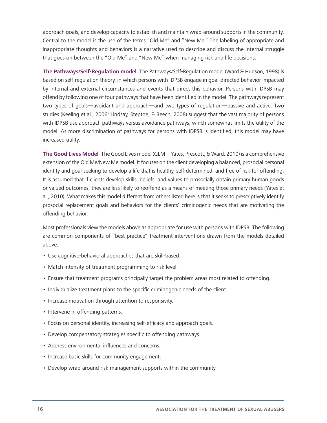approach goals, and develop capacity to establish and maintain wrap-around supports in the community. Central to the model is the use of the terms "Old Me" and "New Me." The labeling of appropriate and inappropriate thoughts and behaviors is a narrative used to describe and discuss the internal struggle that goes on between the "Old Me" and "New Me" when managing risk and life decisions.

**The Pathways/Self-Regulation model** The Pathways/Self-Regulation model (Ward & Hudson, 1998) is based on self-regulation theory, in which persons with IDPSB engage in goal-directed behavior impacted by internal and external circumstances and events that direct this behavior. Persons with IDPSB may offend by following one of four pathways that have been identified in the model. The pathways represent two types of goals—avoidant and approach—and two types of regulation—passive and active. Two studies (Keeling et al., 2006; Lindsay, Steptoe, & Beech, 2008) suggest that the vast majority of persons with IDPSB use approach pathways versus avoidance pathways, which somewhat limits the utility of the model. As more discrimination of pathways for persons with IDPSB is identified, this model may have increased utility.

**The Good Lives Model** The Good Lives model (GLM—Yates, Prescott, & Ward, 2010) is a comprehensive extension of the Old Me/New Me model. It focuses on the client developing a balanced, prosocial personal identity and goal-seeking to develop a life that is healthy, self-determined, and free of risk for offending. It is assumed that if clients develop skills, beliefs, and values to prosocially obtain primary human goods or valued outcomes, they are less likely to reoffend as a means of meeting those primary needs (Yates et al., 2010). What makes this model different from others listed here is that it seeks to prescriptively identify prosocial replacement goals and behaviors for the clients' criminogenic needs that are motivating the offending behavior.

Most professionals view the models above as appropriate for use with persons with IDPSB. The following are common components of "best practice" treatment interventions drawn from the models detailed above:

- Use cognitive-behavioral approaches that are skill-based.
- Match intensity of treatment programming to risk level.
- • Ensure that treatment programs principally target the problem areas most related to offending.
- Individualize treatment plans to the specific criminogenic needs of the client.
- Increase motivation through attention to responsivity.
- Intervene in offending patterns.
- Focus on personal identity, increasing self-efficacy and approach goals.
- Develop compensatory strategies specific to offending pathways.
- Address environmental influences and concerns.
- Increase basic skills for community engagement.
- Develop wrap-around risk management supports within the community.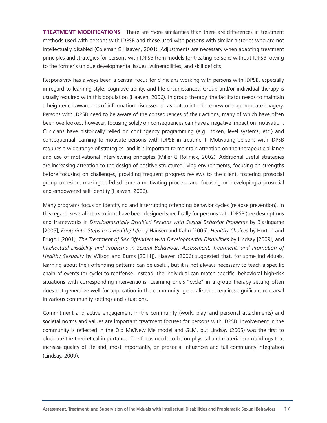**TREATMENT MODIFICATIONS** There are more similarities than there are differences in treatment methods used with persons with IDPSB and those used with persons with similar histories who are not intellectually disabled (Coleman & Haaven, 2001). Adjustments are necessary when adapting treatment principles and strategies for persons with IDPSB from models for treating persons without IDPSB, owing to the former's unique developmental issues, vulnerabilities, and skill deficits.

Responsivity has always been a central focus for clinicians working with persons with IDPSB, especially in regard to learning style, cognitive ability, and life circumstances. Group and/or individual therapy is usually required with this population (Haaven, 2006). In group therapy, the facilitator needs to maintain a heightened awareness of information discussed so as not to introduce new or inappropriate imagery. Persons with IDPSB need to be aware of the consequences of their actions, many of which have often been overlooked; however, focusing solely on consequences can have a negative impact on motivation. Clinicians have historically relied on contingency programming (e.g., token, level systems, etc.) and consequential learning to motivate persons with IDPSB in treatment. Motivating persons with IDPSB requires a wide range of strategies, and it is important to maintain attention on the therapeutic alliance and use of motivational interviewing principles (Miller & Rollnick, 2002). Additional useful strategies are increasing attention to the design of positive structured living environments, focusing on strengths before focusing on challenges, providing frequent progress reviews to the client, fostering prosocial group cohesion, making self-disclosure a motivating process, and focusing on developing a prosocial and empowered self-identity (Haaven, 2006).

Many programs focus on identifying and interrupting offending behavior cycles (relapse prevention). In this regard, several interventions have been designed specifically for persons with IDPSB (see descriptions and frameworks in *Developmentally Disabled Persons with Sexual Behavior Problems* by Blasingame [2005], *Footprints: Steps to a Healthy Life* by Hansen and Kahn [2005], *Healthy Choices* by Horton and Frugoli [2001], *The Treatment of Sex Offenders with Developmental Disabilities* by Lindsay [2009], and *Intellectual Disability and Problems in Sexual Behaviour: Assessment, Treatment, and Promotion of Healthy Sexuality* by Wilson and Burns [2011]). Haaven (2006) suggested that, for some individuals, learning about their offending patterns can be useful, but it is not always necessary to teach a specific chain of events (or cycle) to reoffense. Instead, the individual can match specific, behavioral high-risk situations with corresponding interventions. Learning one's "cycle" in a group therapy setting often does not generalize well for application in the community; generalization requires significant rehearsal in various community settings and situations.

Commitment and active engagement in the community (work, play, and personal attachments) and societal norms and values are important treatment focuses for persons with IDPSB. Involvement in the community is reflected in the Old Me/New Me model and GLM, but Lindsay (2005) was the first to elucidate the theoretical importance. The focus needs to be on physical and material surroundings that increase quality of life and, most importantly, on prosocial influences and full community integration (Lindsay, 2009).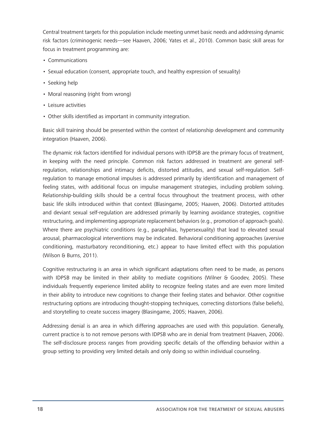Central treatment targets for this population include meeting unmet basic needs and addressing dynamic risk factors (criminogenic needs—see Haaven, 2006; Yates et al., 2010). Common basic skill areas for focus in treatment programming are:

- • Communications
- • Sexual education (consent, appropriate touch, and healthy expression of sexuality)
- Seeking help
- Moral reasoning (right from wrong)
- • Leisure activities
- Other skills identified as important in community integration.

Basic skill training should be presented within the context of relationship development and community integration (Haaven, 2006).

The dynamic risk factors identified for individual persons with IDPSB are the primary focus of treatment, in keeping with the need principle. Common risk factors addressed in treatment are general selfregulation, relationships and intimacy deficits, distorted attitudes, and sexual self-regulation. Selfregulation to manage emotional impulses is addressed primarily by identification and management of feeling states, with additional focus on impulse management strategies, including problem solving. Relationship-building skills should be a central focus throughout the treatment process, with other basic life skills introduced within that context (Blasingame, 2005; Haaven, 2006). Distorted attitudes and deviant sexual self-regulation are addressed primarily by learning avoidance strategies, cognitive restructuring, and implementing appropriate replacement behaviors (e.g., promotion of approach goals). Where there are psychiatric conditions (e.g., paraphilias, hypersexuality) that lead to elevated sexual arousal, pharmacological interventions may be indicated. Behavioral conditioning approaches (aversive conditioning, masturbatory reconditioning, etc.) appear to have limited effect with this population (Wilson & Burns, 2011).

Cognitive restructuring is an area in which significant adaptations often need to be made, as persons with IDPSB may be limited in their ability to mediate cognitions (Wilner & Goodev, 2005). These individuals frequently experience limited ability to recognize feeling states and are even more limited in their ability to introduce new cognitions to change their feeling states and behavior. Other cognitive restructuring options are introducing thought-stopping techniques, correcting distortions (false beliefs), and storytelling to create success imagery (Blasingame, 2005; Haaven, 2006).

Addressing denial is an area in which differing approaches are used with this population. Generally, current practice is to not remove persons with IDPSB who are in denial from treatment (Haaven, 2006). The self-disclosure process ranges from providing specific details of the offending behavior within a group setting to providing very limited details and only doing so within individual counseling.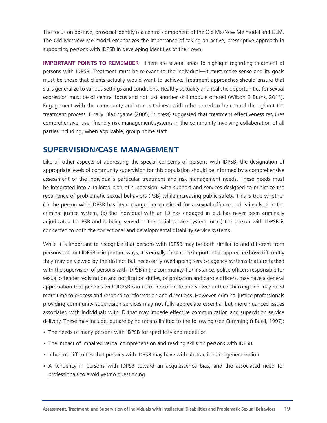The focus on positive, prosocial identity is a central component of the Old Me/New Me model and GLM. The Old Me/New Me model emphasizes the importance of taking an active, prescriptive approach in supporting persons with IDPSB in developing identities of their own.

**IMPORTANT POINTS TO REMEMBER** There are several areas to highlight regarding treatment of persons with IDPSB. Treatment must be relevant to the individual—it must make sense and its goals must be those that clients actually would want to achieve. Treatment approaches should ensure that skills generalize to various settings and conditions. Healthy sexuality and realistic opportunities for sexual expression must be of central focus and not just another skill module offered (Wilson & Burns, 2011). Engagement with the community and connectedness with others need to be central throughout the treatment process. Finally, Blasingame (2005; in press) suggested that treatment effectiveness requires comprehensive, user-friendly risk management systems in the community involving collaboration of all parties including, when applicable, group home staff.

## **SUPERVISION/CASE MANAGEMENT**

Like all other aspects of addressing the special concerns of persons with IDPSB, the designation of appropriate levels of community supervision for this population should be informed by a comprehensive assessment of the individual's particular treatment and risk management needs. These needs must be integrated into a tailored plan of supervision, with support and services designed to minimize the recurrence of problematic sexual behaviors (PSB) while increasing public safety. This is true whether (a) the person with IDPSB has been charged or convicted for a sexual offense and is involved in the criminal justice system, (b) the individual with an ID has engaged in but has never been criminally adjudicated for PSB and is being served in the social service system, or (c) the person with IDPSB is connected to both the correctional and developmental disability service systems.

While it is important to recognize that persons with IDPSB may be both similar to and different from persons without IDPSB in important ways, it is equally if not more important to appreciate how differently they may be viewed by the distinct but necessarily overlapping service agency systems that are tasked with the supervision of persons with IDPSB in the community. For instance, police officers responsible for sexual offender registration and notification duties, or probation and parole officers, may have a general appreciation that persons with IDPSB can be more concrete and slower in their thinking and may need more time to process and respond to information and directions. However, criminal justice professionals providing community supervision services may not fully appreciate essential but more nuanced issues associated with individuals with ID that may impede effective communication and supervision service delivery. These may include, but are by no means limited to the following (see Cumming & Buell, 1997):

- The needs of many persons with IDPSB for specificity and repetition
- The impact of impaired verbal comprehension and reading skills on persons with IDPSB
- Inherent difficulties that persons with IDPSB may have with abstraction and generalization
- A tendency in persons with IDPSB toward an acquiescence bias, and the associated need for professionals to avoid yes/no questioning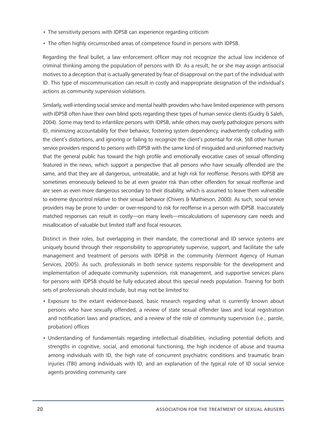- The sensitivity persons with IDPSB can experience regarding criticism
- The often highly circumscribed areas of competence found in persons with IDPSB.

Regarding the final bullet, a law enforcement officer may not recognize the actual low incidence of criminal thinking among the population of persons with ID. As a result, he or she may assign antisocial motives to a deception that is actually generated by fear of disapproval on the part of the individual with ID. This type of miscommunication can result in costly and inappropriate designation of the individual's actions as community supervision violations.

Similarly, well-intending social service and mental health providers who have limited experience with persons with IDPSB often have their own blind spots regarding these types of human service clients (Guidry & Saleh, 2004). Some may tend to infantilize persons with IDPSB, while others may overly pathologize persons with ID, minimizing accountability for their behavior, fostering system dependency, inadvertently colluding with the client's distortions, and ignoring or failing to recognize the client's potential for risk. Still other human service providers respond to persons with IDPSB with the same kind of misguided and uninformed reactivity that the general public has toward the high profile and emotionally evocative cases of sexual offending featured in the news, which support a perspective that all persons who have sexually offended are the same, and that they are all dangerous, untreatable, and at high risk for reoffense. Persons with IDPSB are sometimes erroneously believed to be at even greater risk than other offenders for sexual reoffense and are seen as even more dangerous secondary to their disability, which is assumed to leave them vulnerable to extreme dyscontrol relative to their sexual behavior (Chivers & Mathieson, 2000). As such, social service providers may be prone to under- or over-respond to risk for reoffense in a person with IDPSB. Inaccurately matched responses can result in costly—on many levels—miscalculations of supervisory care needs and misallocation of valuable but limited staff and fiscal resources.

Distinct in their roles, but overlapping in their mandate, the correctional and ID service systems are uniquely bound through their responsibility to appropriately supervise, support, and facilitate the safe management and treatment of persons with IDPSB in the community (Vermont Agency of Human Services, 2005). As such, professionals in both service systems responsible for the development and implementation of adequate community supervision, risk management, and supportive services plans for persons with IDPSB should be fully educated about this special needs population. Training for both sets of professionals should include, but may not be limited to:

- • Exposure to the extant evidence-based, basic research regarding what is currently known about persons who have sexually offended, a review of state sexual offender laws and local registration and notification laws and practices, and a review of the role of community supervision (i.e., parole, probation) offices
- • Understanding of fundamentals regarding intellectual disabilities, including potential deficits and strengths in cognitive, social, and emotional functioning, the high incidence of abuse and trauma among individuals with ID, the high rate of concurrent psychiatric conditions and traumatic brain injuries (TBI) among individuals with ID, and an explanation of the typical role of ID social service agents providing community care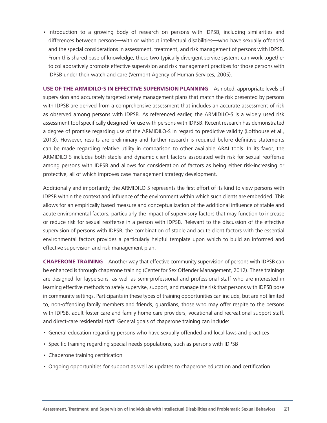• Introduction to a growing body of research on persons with IDPSB, including similarities and differences between persons—with or without intellectual disabilities—who have sexually offended and the special considerations in assessment, treatment, and risk management of persons with IDPSB. From this shared base of knowledge, these two typically divergent service systems can work together to collaboratively promote effective supervision and risk management practices for those persons with IDPSB under their watch and care (Vermont Agency of Human Services, 2005).

**USE OF THE ARMIDILO-S IN EFFECTIVE SUPERVISION PLANNING** As noted, appropriate levels of supervision and accurately targeted safety management plans that match the risk presented by persons with IDPSB are derived from a comprehensive assessment that includes an accurate assessment of risk as observed among persons with IDPSB. As referenced earlier, the ARMIDILO-S is a widely used risk assessment tool specifically designed for use with persons with IDPSB. Recent research has demonstrated a degree of promise regarding use of the ARMIDILO-S in regard to predictive validity (Lofthouse et al., 2013). However, results are preliminary and further research is required before definitive statements can be made regarding relative utility in comparison to other available ARAI tools. In its favor, the ARMIDILO-S includes both stable and dynamic client factors associated with risk for sexual reoffense among persons with IDPSB and allows for consideration of factors as being either risk-increasing or protective, all of which improves case management strategy development.

Additionally and importantly, the ARMIDILO-S represents the first effort of its kind to view persons with IDPSB within the context and influence of the environment within which such clients are embedded. This allows for an empirically based measure and conceptualization of the additional influence of stable and acute environmental factors, particularly the impact of supervisory factors that may function to increase or reduce risk for sexual reoffense in a person with IDPSB. Relevant to the discussion of the effective supervision of persons with IDPSB, the combination of stable and acute client factors with the essential environmental factors provides a particularly helpful template upon which to build an informed and effective supervision and risk management plan.

**CHAPERONE TRAINING** Another way that effective community supervision of persons with IDPSB can be enhanced is through chaperone training (Center for Sex Offender Management, 2012). These trainings are designed for laypersons, as well as semi-professional and professional staff who are interested in learning effective methods to safely supervise, support, and manage the risk that persons with IDPSB pose in community settings. Participants in these types of training opportunities can include, but are not limited to, non-offending family members and friends, guardians, those who may offer respite to the persons with IDPSB, adult foster care and family home care providers, vocational and recreational support staff, and direct-care residential staff. General goals of chaperone training can include:

- • General education regarding persons who have sexually offended and local laws and practices
- Specific training regarding special needs populations, such as persons with IDPSB
- Chaperone training certification
- Ongoing opportunities for support as well as updates to chaperone education and certification.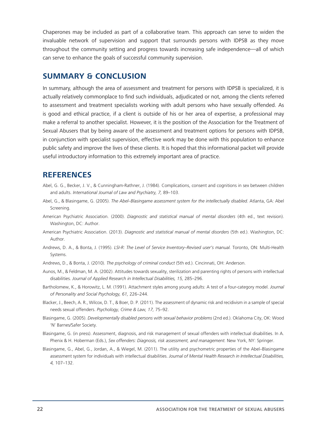Chaperones may be included as part of a collaborative team. This approach can serve to widen the invaluable network of supervision and support that surrounds persons with IDPSB as they move throughout the community setting and progress towards increasing safe independence—all of which can serve to enhance the goals of successful community supervision.

#### **SUMMARY & CONCLUSION**

In summary, although the area of assessment and treatment for persons with IDPSB is specialized, it is actually relatively commonplace to find such individuals, adjudicated or not, among the clients referred to assessment and treatment specialists working with adult persons who have sexually offended. As is good and ethical practice, if a client is outside of his or her area of expertise, a professional may make a referral to another specialist. However, it is the position of the Association for the Treatment of Sexual Abusers that by being aware of the assessment and treatment options for persons with IDPSB, in conjunction with specialist supervision, effective work may be done with this population to enhance public safety and improve the lives of these clients. It is hoped that this informational packet will provide useful introductory information to this extremely important area of practice.

### **REFERENCES**

- Abel, G. G., Becker, J. V., & Cunningham-Rathner, J. (1984). Complications, consent and cognitions in sex between children and adults. *International Journal of Law and Psychiatry, 7,* 89–103.
- Abel, G., & Blasingame, G. (2005). *The Abel–Blasingame assessment system for the intellectually disabled.* Atlanta, GA: Abel Screening.
- American Psychiatric Association. (2000). *Diagnostic and statistical manual of mental disorders* (4th ed., text revision). Washington, DC: Author.
- American Psychiatric Association. (2013). *Diagnostic and statistical manual of mental disorders* (5th ed.). Washington, DC: Author.
- Andrews, D. A., & Bonta, J. (1995). *LSI-R: The Level of Service Inventory–Revised user's manual.* Toronto, ON: Multi-Health Systems.
- Andrews, D., & Bonta, J. (2010). *The psychology of criminal conduct* (5th ed.). Cincinnati, OH: Anderson.
- Aunos, M., & Feldman, M. A. (2002). Attitudes towards sexuality, sterilization and parenting rights of persons with intellectual disabilities. *Journal of Applied Research in Intellectual Disabilities, 15,* 285–296.
- Bartholomew, K., & Horowitz, L. M. (1991). Attachment styles among young adults: A test of a four-category model. *Journal of Personality and Social Psychology, 61,* 226–244.
- Blacker, J., Beech, A. R., Wilcox, D. T., & Boer, D. P. (2011). The assessment of dynamic risk and recidivism in a sample of special needs sexual offenders. *Psychology, Crime & Law, 17,* 75–92.
- Blasingame, G. (2005). *Developmentally disabled persons with sexual behavior problems* (2nd ed.). Oklahoma City, OK: Wood 'N' Barnes/Safer Society.
- Blasingame, G. (in press). Assessment, diagnosis, and risk management of sexual offenders with intellectual disabilities. In A. Phenix & H. Hoberman (Eds.), *Sex offenders: Diagnosis, risk assessment, and management.* New York, NY: Springer.
- Blasingame, G., Abel, G., Jordan, A., & Wiegel, M. (2011). The utility and psychometric properties of the Abel–Blasingame assessment system for individuals with intellectual disabilities. *Journal of Mental Health Research in Intellectual Disabilities, 4,* 107–132.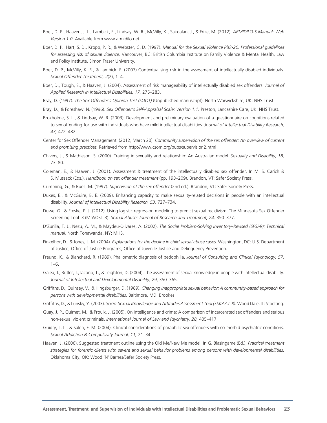- Boer, D. P., Haaven, J. L., Lambick, F., Lindsay, W. R., McVilly, K., Sakdalan, J., & Frize, M. (2012). *ARMIDILO-S Manual: Web Version 1.0.* Available from www.armidilo.net
- Boer, D. P., Hart, S. D., Kropp, P. R., & Webster, C. D. (1997). *Manual for the Sexual Violence Risk-20: Professional guidelines for assessing risk of sexual violence.* Vancouver, BC: British Columbia Institute on Family Violence & Mental Health, Law and Policy Institute, Simon Fraser University.
- Boer, D. P., McVilly, K. R., & Lambick, F. (2007) Contextualising risk in the assessment of intellectually disabled individuals. *Sexual Offender Treatment, 2*(2), 1–4.
- Boer, D., Tough, S., & Haaven, J. (2004). Assessment of risk manageability of intellectually disabled sex offenders. *Journal of Applied Research in Intellectual Disabilities, 17,* 275–283.
- Bray, D. (1997). *The Sex Offender's Opinion Test (SOOT)* (Unpublished manuscript). North Warwickshire, UK: NHS Trust.
- Bray, D., & Foreshaw, N. (1996). *Sex Offender's Self-Appraisal Scale: Version 1.1.* Preston, Lancashire Care, UK: NHS Trust.
- Broxholme, S. L., & Lindsay, W. R. (2003). Development and preliminary evaluation of a questionnaire on cognitions related to sex offending for use with individuals who have mild intellectual disabilities. *Journal of Intellectual Disability Research, 47,* 472–482.
- Center for Sex Offender Management. (2012, March 20). *Community supervision of the sex offender: An overview of current and promising practices.* Retrieved from http://www.csom.org/pubs/supervision2.html
- Chivers, J., & Mathieson, S. (2000). Training in sexuality and relationship: An Australian model. *Sexuality and Disability, 18,* 73–80.
- Coleman, E., & Haaven, J. (2001). Assessment & treatment of the intellectually disabled sex offender. In M. S. Carich & S. Mussack (Eds.), *Handbook on sex offender treatment* (pp. 193–209). Brandon, VT: Safer Society Press.
- Cumming, G., & Buell, M. (1997). *Supervision of the sex offender* (2nd ed.). Brandon, VT: Safer Society Press.
- Dukes, E., & McGuire, B. E. (2009). Enhancing capacity to make sexuality-related decisions in people with an intellectual disability. *Journal of Intellectual Disability Research, 53,* 727–734.
- Duwe, G., & Freske, P. J. (2012). Using logistic regression modeling to predict sexual recidivism: The Minnesota Sex Offender Screening Tool–3 (MnSOST-3). *Sexual Abuse: Journal of Research and Treatment, 24,* 350–377.
- D'Zurilla, T. J., Nezu, A. M., & Maydeu-Olivares, A. (2002). *The Social Problem-Solving Inventory–Revised (SPSI-R): Technical manual.* North Tonawanda, NY: MHS.
- Finkelhor, D., & Jones, L. M. (2004). *Explanations for the decline in child sexual abuse cases.* Washington, DC: U.S. Department of Justice, Office of Justice Programs, Office of Juvenile Justice and Delinquency Prevention.
- Freund, K., & Blanchard, R. (1989). Phallometric diagnosis of pedophilia. *Journal of Consulting and Clinical Psychology, 57,* 1–6.
- Galea, J., Butler, J., Iacono, T., & Leighton, D. (2004). The assessment of sexual knowledge in people with intellectual disability. *Journal of Intellectual and Developmental Disability, 29*, 350–365.
- Griffiths, D., Quinsey, V., & Hingsburger, D. (1989). *Changing inappropriate sexual behavior: A community-based approach for persons with developmental disabilities.* Baltimore, MD: Brookes.
- Griffiths, D., & Lunsky, Y. (2003). *Socio-Sexual Knowledge and Attitudes Assessment Tool (SSKAAT-R).* Wood Dale, IL: Stoelting.
- Guay, J. P., Ouimet, M., & Proulx, J. (2005). On intelligence and crime: A comparison of incarcerated sex offenders and serious non-sexual violent criminals. *International Journal of Law and Psychiatry, 28,* 405–417.
- Guidry, L. L., & Saleh, F. M. (2004). Clinical considerations of paraphilic sex offenders with co-morbid psychiatric conditions. *Sexual Addiction & Compulsivity Journal, 11,* 21–34.
- Haaven, J. (2006). Suggested treatment outline using the Old Me/New Me model. In G. Blasingame (Ed.), *Practical treatment strategies for forensic clients with severe and sexual behavior problems among persons with developmental disabilities.*  Oklahoma City, OK: Wood 'N' Barnes/Safer Society Press.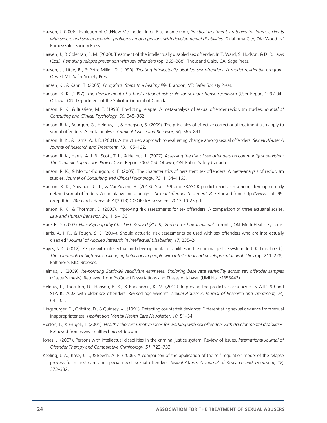- Haaven, J. (2006). Evolution of Old/New Me model. In G. Blasingame (Ed.), *Practical treatment strategies for forensic clients*  with severe and sexual behavior problems among persons with developmental disabilities. Oklahoma City, OK: Wood 'N' Barnes/Safer Society Press.
- Haaven, J., & Coleman, E. M. (2000). Treatment of the intellectually disabled sex offender. In T. Ward, S. Hudson, & D. R. Laws (Eds.), *Remaking relapse prevention with sex offenders* (pp. 369–388). Thousand Oaks, CA: Sage Press.
- Haaven, J., Little, R., & Petre-Miller, D. (1990). *Treating intellectually disabled sex offenders: A model residential program.*  Orwell, VT: Safer Society Press.
- Hansen, K., & Kahn, T. (2005). *Footprints: Steps to a healthy life.* Brandon, VT: Safer Society Press.
- Hanson, R. K. (1997). *The development of a brief actuarial risk scale for sexual offense recidivism* (User Report 1997-04). Ottawa, ON: Department of the Solicitor General of Canada.
- Hanson, R. K., & Bussière, M. T. (1998). Predicting relapse: A meta-analysis of sexual offender recidivism studies. *Journal of Consulting and Clinical Psychology, 66,* 348–362.
- Hanson, R. K., Bourgon, G., Helmus, L., & Hodgson, S. (2009). The principles of effective correctional treatment also apply to sexual offenders: A meta-analysis. *Criminal Justice and Behavior, 36,* 865–891.
- Hanson, R. K., & Harris, A. J. R. (2001). A structured approach to evaluating change among sexual offenders. *Sexual Abuse: A Journal of Research and Treatment, 13,* 105–122.
- Hanson, R. K., Harris, A. J. R., Scott, T. L., & Helmus, L. (2007). *Assessing the risk of sex offenders on community supervision: The Dynamic Supervision Project* (User Report 2007-05). Ottawa, ON: Public Safety Canada.
- Hanson, R. K., & Morton-Bourgon, K. E. (2005). The characteristics of persistent sex offenders: A meta-analysis of recidivism studies. *Journal of Consulting and Clinical Psychology, 73,* 1154–1163.
- Hanson, R. K., Sheahan, C. L., & VanZuylen, H. (2013). Static-99 and RRASOR predict recidivism among developmentally delayed sexual offenders: A cumulative meta-analysis. *Sexual Offender Treatment, 8.* Retrieved from http://www.static99. org/pdfdocs/Research-HansonEtAl(2013)DDSORiskAssessment-2013-10-25.pdf
- Hanson, R. K., & Thornton, D. (2000). Improving risk assessments for sex offenders: A comparison of three actuarial scales. *Law and Human Behavior, 24,* 119–136.
- Hare, R. D. (2003). *Hare Psychopathy Checklist–Revised (PCL-R)–2nd ed. Technical manual.* Toronto, ON: Multi-Health Systems.
- Harris, A. J. R., & Tough, S. E. (2004). Should actuarial risk assessments be used with sex offenders who are intellectually disabled? *Journal of Applied Research in Intellectual Disabilities, 17,* 235–241.
- Hayes, S. C. (2012). People with intellectual and developmental disabilities in the criminal justice system. In J. K. Luiselli (Ed.), The handbook of high-risk challenging behaviors in people with intellectual and developmental disabilities (pp. 211–228). Baltimore, MD: Brookes.
- Helmus, L. (2009). *Re-norming Static-99 recidivism estimates: Exploring base rate variability across sex offender samples* (Master's thesis). Retrieved from ProQuest Dissertations and Theses database. (UMI No. MR58443)
- Helmus, L., Thornton, D., Hanson, R. K., & Babchishin, K. M. (2012). Improving the predictive accuracy of STATIC-99 and STATIC-2002 with older sex offenders: Revised age weights. *Sexual Abuse: A Journal of Research and Treatment, 24,*  64–101.
- Hingsburger, D., Griffiths, D., & Quinsey, V., (1991). Detecting counterfeit deviance: Differentiating sexual deviance from sexual inappropriateness. *Habilitation Mental Health Care Newsletter, 10,* 51–54.
- Horton, T., & Frugoli, T. (2001). *Healthy choices: Creative ideas for working with sex offenders with developmental disabilities.*  Retrieved from www.healthychoices4dd.com
- Jones, J. (2007). Persons with intellectual disabilities in the criminal justice system: Review of issues. *International Journal of Offender Therapy and Comparative Criminology, 51,* 723–733.
- Keeling, J. A., Rose, J. L., & Beech, A. R. (2006). A comparison of the application of the self-regulation model of the relapse process for mainstream and special needs sexual offenders. *Sexual Abuse: A Journal of Research and Treatment, 18,*  373–382.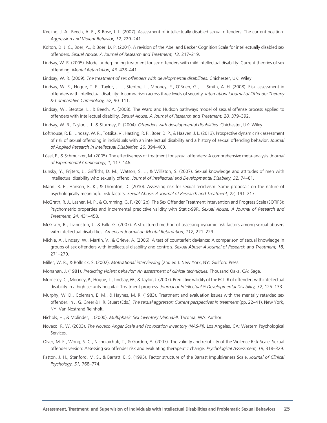- Keeling, J. A., Beech, A. R., & Rose, J. L. (2007). Assessment of intellectually disabled sexual offenders: The current position. *Aggression and Violent Behavior, 12,* 229–241.
- Kolton, D. J. C., Boer, A., & Boer, D. P. (2001). A revision of the Abel and Becker Cognition Scale for intellectually disabled sex offenders. *Sexual Abuse: A Journal of Research and Treatment, 13,* 217–219.
- Lindsay, W. R. (2005). Model underpinning treatment for sex offenders with mild intellectual disability: Current theories of sex offending. *Mental Retardation, 43,* 428–441.
- Lindsay, W. R. (2009). *The treatment of sex offenders with developmental disabilities.* Chichester, UK: Wiley.
- Lindsay, W. R., Hogue, T. E., Taylor, J. L., Steptoe, L., Mooney, P., O'Brien, G., … Smith, A. H. (2008). Risk assessment in offenders with intellectual disability: A comparison across three levels of security. *International Journal of Offender Therapy & Comparative Criminology, 52,* 90–111.
- Lindsay, W., Steptoe, L., & Beech, A. (2008). The Ward and Hudson pathways model of sexual offense process applied to offenders with intellectual disability. *Sexual Abuse: A Journal of Research and Treatment, 20,* 379–392.
- Lindsay, W. R., Taylor, J. L. & Sturmey, P. (2004). *Offenders with developmental disabilities.* Chichester, UK: Wiley.
- Lofthouse, R. E., Lindsay, W. R., Totsika, V., Hasting, R. P., Boer, D. P., & Haaven, J. L. (2013). Prospective dynamic risk assessment of risk of sexual offending in individuals with an intellectual disability and a history of sexual offending behavior. *Journal of Applied Research in Intellectual Disabilities, 26,* 394–403.
- Lösel, F., & Schmucker, M. (2005). The effectiveness of treatment for sexual offenders: A comprehensive meta-analysis. *Journal of Experimental Criminology, 1,* 117–146.
- Lunsky, Y., Frijters, J., Griffiths, D. M., Watson, S. L., & Williston, S. (2007). Sexual knowledge and attitudes of men with intellectual disability who sexually offend. *Journal of Intellectual and Developmental Disability, 32,* 74–81.
- Mann, R. E., Hanson, R. K., & Thornton, D. (2010). Assessing risk for sexual recidivism: Some proposals on the nature of psychologically meaningful risk factors. *Sexual Abuse: A Journal of Research and Treatment, 22,* 191–217.
- McGrath, R. J., Lasher, M. P., & Cumming, G. F. (2012b). The Sex Offender Treatment Intervention and Progress Scale (SOTIPS): Psychometric properties and incremental predictive validity with Static-99R. *Sexual Abuse: A Journal of Research and Treatment, 24,* 431–458.
- McGrath, R., Livingston, J., & Falk, G. (2007). A structured method of assessing dynamic risk factors among sexual abusers with intellectual disabilities. *American Journal on Mental Retardation, 112,* 221–229.
- Michie, A., Lindsay, W., Martin, V., & Grieve, A. (2006). A test of counterfeit deviance: A comparison of sexual knowledge in groups of sex offenders with intellectual disability and controls. *Sexual Abuse: A Journal of Research and Treatment, 18,*  271–279.
- Miller, W. R., & Rollnick, S. (2002). *Motivational interviewing* (2nd ed.). New York, NY: Guilford Press.
- Monahan, J. (1981). *Predicting violent behavior: An assessment of clinical techniques.* Thousand Oaks, CA: Sage.
- Morrissey, C., Mooney, P., Hogue, T., Lindsay, W., & Taylor, J. (2007). Predictive validity of the PCL-R of offenders with intellectual disability in a high security hospital: Treatment progress. *Journal of Intellectual & Developmental Disability, 32,* 125–133.
- Murphy, W. D., Coleman, E. M., & Haynes, M. R. (1983). Treatment and evaluation issues with the mentally retarded sex offender. In J. G. Greer & I. R. Stuart (Eds.), *The sexual aggressor: Current perspectives in treatment* (pp. 22–41). New York, NY: Van Nostrand Reinholt.
- Nichols, H., & Molinder, I. (2000). *Multiphasic Sex Inventory Manual-II.* Tacoma, WA: Author.
- Novaco, R. W. (2003). *The Novaco Anger Scale and Provocation Inventory (NAS-PI).* Los Angeles, CA: Western Psychological Services.
- Olver, M. E., Wong, S. C., Nicholaichuk, T., & Gordon, A. (2007). The validity and reliability of the Violence Risk Scale–Sexual offender version: Assessing sex offender risk and evaluating therapeutic change. *Psychological Assessment, 19,* 318–329.
- Patton, J. H., Stanford, M. S., & Barratt, E. S. (1995). Factor structure of the Barratt Impulsiveness Scale. *Journal of Clinical Psychology, 51,* 768–774.